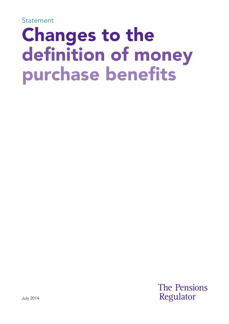Statement

# Changes to the definition of money purchase benefits

**The Pensions** Regulator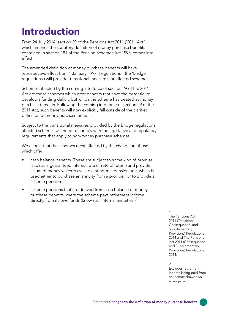### Introduction

From 24 July 2014, section 29 of the Pensions Act 2011 ('2011 Act'), which amends the statutory definition of money purchase benefits contained in section 181 of the Pension Schemes Act 1993, comes into effect.

The amended definition of money purchase benefits will have retrospective effect from 1 January 1997. Regulations<sup>1</sup> (the 'Bridge regulations') will provide transitional measures for affected schemes.

Schemes affected by the coming into force of section 29 of the 2011 Act are those schemes which offer benefits that have the potential to develop a funding deficit, but which the scheme has treated as money purchase benefits. Following the coming into force of section 29 of the 2011 Act, such benefits will now explicitly fall outside of the clarified definition of money purchase benefits.

Subject to the transitional measures provided by the Bridge regulations, affected schemes will need to comply with the legislative and regulatory requirements that apply to non-money purchase schemes.

We expect that the schemes most affected by the change are those which offer:

- cash balance benefits. These are subject to some kind of promise (such as a guaranteed interest rate or rate of return) and provide a sum of money which is available at normal pension age, which is used either to purchase an annuity from a provider, or to provide a scheme pension.
- scheme pensions that are derived from cash balance or money purchase benefits where the scheme pays retirement income directly from its own funds (known as 'internal annuities')<sup>2</sup>.

1 The Pensions Act 2011 (Transitional, Consequential and Supplementary Provisions) Regulations 2014 and The Pensions Act 2011 (Consequential and Supplementary Provisions) Regulations 2014.

#### $\overline{2}$

Excludes retirement income being paid from an income drawdown arrangement.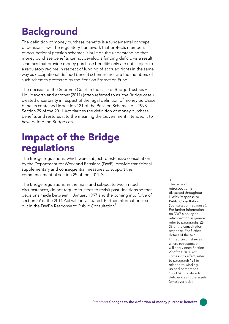## Background

The definition of money purchase benefits is a fundamental concept of pensions law. The regulatory framework that protects members of occupational pension schemes is built on the understanding that money purchase benefits cannot develop a funding deficit. As a result, schemes that provide money purchase benefits only are not subject to a regulatory regime in respect of funding of accrued rights in the same way as occupational defined benefit schemes, nor are the members of such schemes protected by the Pension Protection Fund.

The decision of the Supreme Court in the case of Bridge Trustees v Houldsworth and another (2011) (often referred to as 'the Bridge case') created uncertainty in respect of the legal definition of money purchase benefits contained in section 181 of the Pension Schemes Act 1993. Section 29 of the 2011 Act clarifies the definition of money purchase benefits and restores it to the meaning the Government intended it to have before the Bridge case.

### Impact of the Bridge regulations

The Bridge regulations, which were subject to extensive consultation by the Department for Work and Pensions (DWP), provide transitional, supplementary and consequential measures to support the commencement of section 29 of the 2011 Act.

The Bridge regulations, in the main and subject to two limited circumstances, do not require trustees to revisit past decisions so that decisions made between 1 January 1997 and the coming into force of section 29 of the 2011 Act will be validated. Further information is set out in the DWP's Response to Public Consultation $^3$ .

3

The issue of retrospection is discussed throughout DWP's Response to Public Consultation ('consultation response'). For further information on DWP's policy on retrospection in general, refer to paragraphs 32 38 of the consultation response. For further details of the two limited circumstances where retrospection will apply once Section 29 of the 2011 Act comes into effect, refer to paragraph 121 in relation to windingup and paragraphs 130-134 in relation to deficiencies in the assets (employer debt).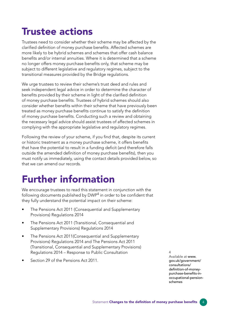### Trustee actions

Trustees need to consider whether their scheme may be affected by the clarified definition of money purchase benefits. Affected schemes are more likely to be hybrid schemes and schemes that offer cash balance benefits and/or internal annuities. Where it is determined that a scheme no longer offers money purchase benefits only, that scheme may be subject to different legislative and regulatory regimes, subject to the transitional measures provided by the Bridge regulations.

We urge trustees to review their scheme's trust deed and rules and seek independent legal advice in order to determine the character of benefits provided by their scheme in light of the clarified definition of money purchase benefits. Trustees of hybrid schemes should also consider whether benefits within their scheme that have previously been treated as money purchase benefits continue to satisfy the definition of money purchase benefits. Conducting such a review and obtaining the necessary legal advice should assist trustees of affected schemes in complying with the appropriate legislative and regulatory regimes.

Following the review of your scheme, if you find that, despite its current or historic treatment as a money purchase scheme, it offers benefits that have the potential to result in a funding deficit (and therefore falls outside the amended definition of money purchase benefits), then you must notify us immediately, using the contact details provided below, so that we can amend our records.

### Further information

We encourage trustees to read this statement in conjunction with the following documents published by DWP $^4$  in order to be confident that they fully understand the potential impact on their scheme:

- The Pensions Act 2011 (Consequential and Supplementary Provisions) Regulations 2014
- The Pensions Act 2011 (Transitional, Consequential and Supplementary Provisions) Regulations 2014
- The Pensions Act 2011(Consequential and Supplementary Provisions) Regulations 2014 and The Pensions Act 2011 (Transitional, Consequential and Supplementary Provisions) Regulations 2014 – Response to Public Consultation
- Section 29 of the Pensions Act 2011

4 Available at www. gov.uk/government/ consultations/ definition-of-moneypurchase-benefits-in[occupational-pension](https://www.gov.uk/government/consultations/definition-of-money-purchase-benefits-in-occupational-pension-schemes)schemes